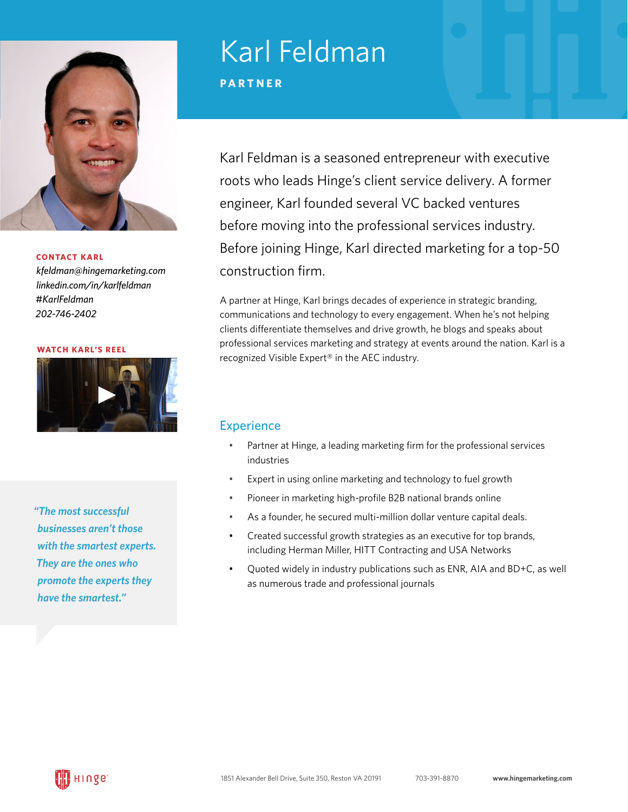

#### **CONTACT KARL**

*kfeldma[n@hingemarketing.com](mailto:kfeldman%40hingemarketing.com?subject=) [linkedin.com/in/](https://www.linkedin.com/in/karlfeldman)karlfeldman [#KarlFeldman](https://twitter.com/KarlFeldman) 202-746-2402*

**[WATCH KARL'S REEL](https://hingemarketing.com/wp-content/uploads/2014/02/Karl-Compressed-copy.mp4)**



*"The most successful businesses aren't those with the smartest experts. They are the ones who promote the experts they have the smartest."*

# Karl Feldman

**PARTNER**

Karl Feldman is a seasoned entrepreneur with executive roots who leads Hinge's client service delivery. A former engineer, Karl founded several VC backed ventures before moving into the professional services industry. Before joining Hinge, Karl directed marketing for a top-50 construction firm.

A partner at Hinge, Karl brings decades of experience in strategic branding, communications and technology to every engagement. When he's not helping clients differentiate themselves and drive growth, he blogs and speaks about professional services marketing and strategy at events around the nation. Karl is a recognized Visible Expert® in the AEC industry.

### **Experience**

- Partner at Hinge, a leading marketing firm for the professional services industries
- Expert in using online marketing and technology to fuel growth
- Pioneer in marketing high-profile B2B national brands online
- As a founder, he secured multi-million dollar venture capital deals.
- Created successful growth strategies as an executive for top brands, including Herman Miller, HITT Contracting and USA Networks
- Quoted widely in industry publications such as ENR, AIA and BD+C, as well as numerous trade and professional journals

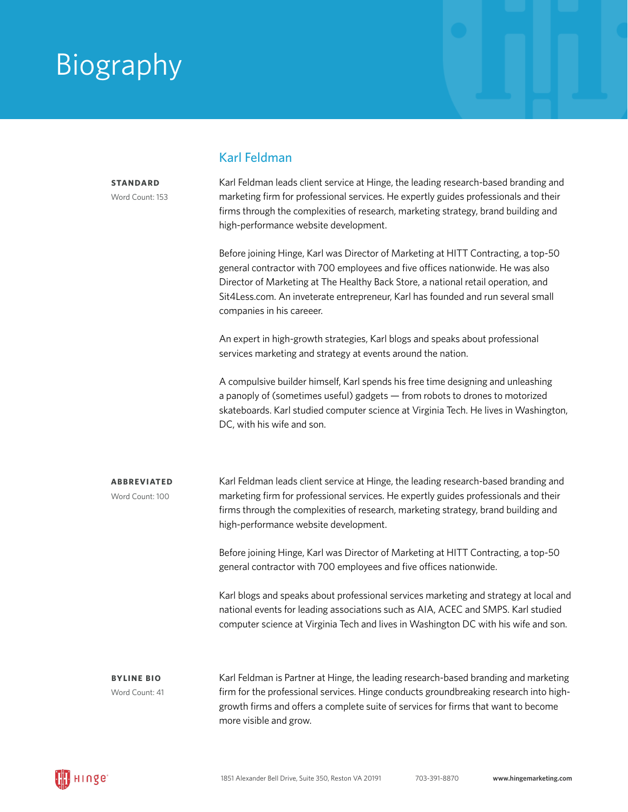### Biography

**STANDARD** Word Count: 153

#### Karl Feldman

Karl Feldman leads client service at Hinge, the leading research-based branding and marketing firm for professional services. He expertly guides professionals and their firms through the complexities of research, marketing strategy, brand building and high-performance website development.

Before joining Hinge, Karl was Director of Marketing at HITT Contracting, a top-50 general contractor with 700 employees and five offices nationwide. He was also Director of Marketing at The Healthy Back Store, a national retail operation, and Sit4Less.com. An inveterate entrepreneur, Karl has founded and run several small companies in his careeer.

An expert in high-growth strategies, Karl blogs and speaks about professional services marketing and strategy at events around the nation.

A compulsive builder himself, Karl spends his free time designing and unleashing a panoply of (sometimes useful) gadgets — from robots to drones to motorized skateboards. Karl studied computer science at Virginia Tech. He lives in Washington, DC, with his wife and son.

Karl Feldman leads client service at Hinge, the leading research-based branding and marketing firm for professional services. He expertly guides professionals and their firms through the complexities of research, marketing strategy, brand building and high-performance website development. **ABBREVIATED** Word Count: 100

> Before joining Hinge, Karl was Director of Marketing at HITT Contracting, a top-50 general contractor with 700 employees and five offices nationwide.

Karl blogs and speaks about professional services marketing and strategy at local and national events for leading associations such as AIA, ACEC and SMPS. Karl studied computer science at Virginia Tech and lives in Washington DC with his wife and son.

**BYLINE BIO**  Word Count: 41

Karl Feldman is Partner at Hinge, the leading research-based branding and marketing firm for the professional services. Hinge conducts groundbreaking research into highgrowth firms and offers a complete suite of services for firms that want to become more visible and grow.

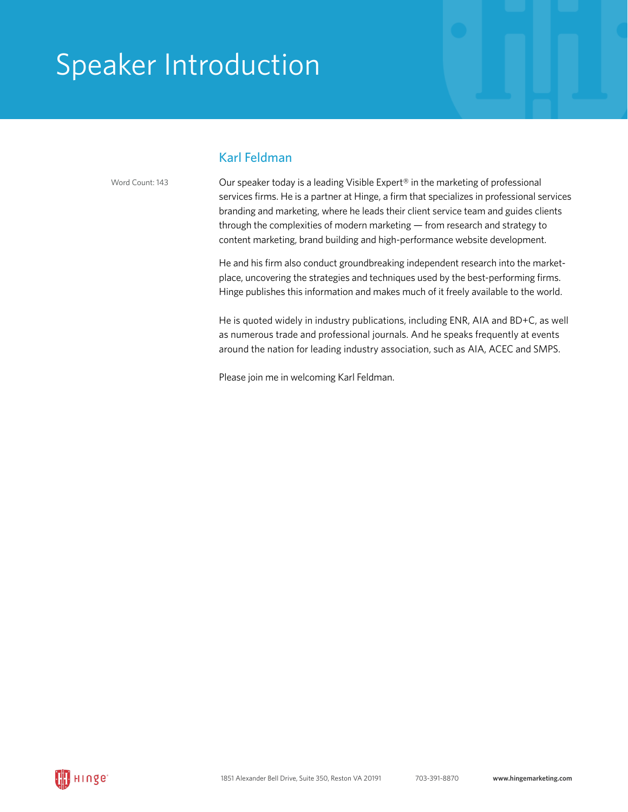### Speaker Introduction

#### Karl Feldman

Word Count: 143

Our speaker today is a leading Visible Expert® in the marketing of professional services firms. He is a partner at Hinge, a firm that specializes in professional services branding and marketing, where he leads their client service team and guides clients through the complexities of modern marketing — from research and strategy to content marketing, brand building and high-performance website development.

He and his firm also conduct groundbreaking independent research into the marketplace, uncovering the strategies and techniques used by the best-performing firms. Hinge publishes this information and makes much of it freely available to the world.

He is quoted widely in industry publications, including ENR, AIA and BD+C, as well as numerous trade and professional journals. And he speaks frequently at events around the nation for leading industry association, such as AIA, ACEC and SMPS.

Please join me in welcoming Karl Feldman.